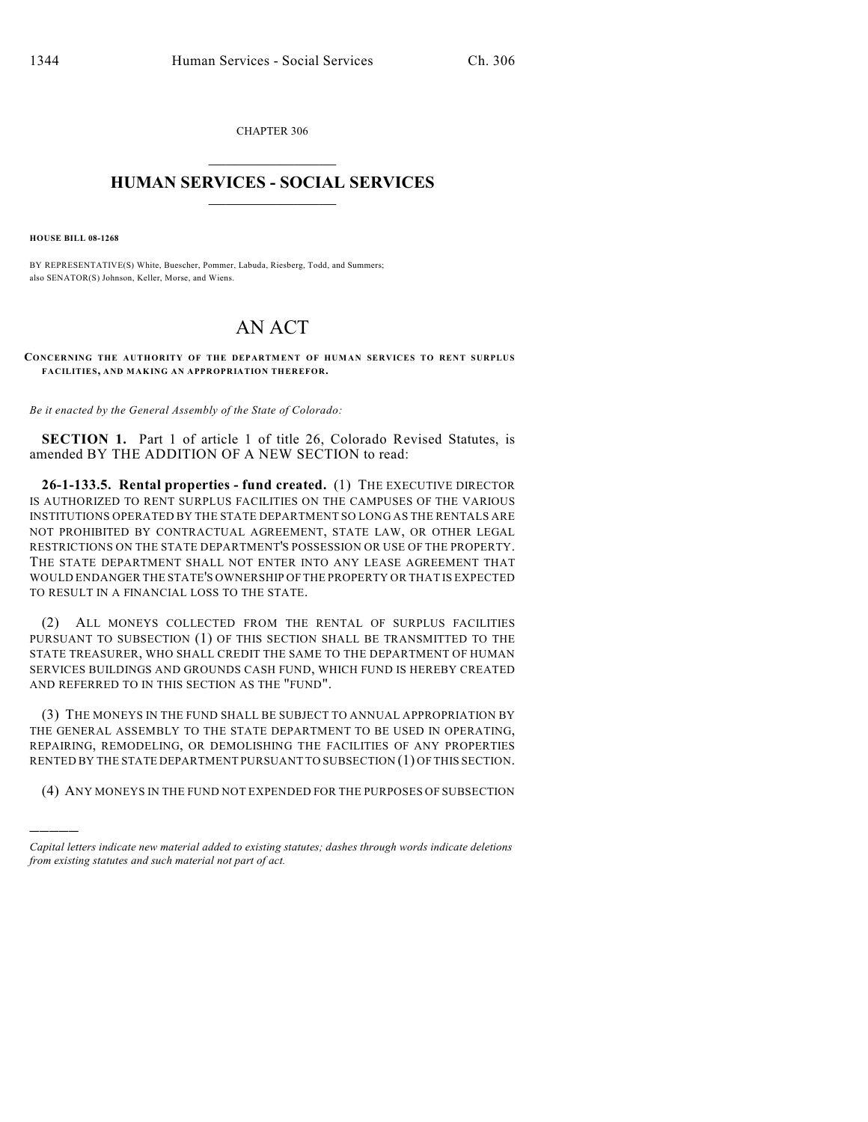CHAPTER 306  $\overline{\phantom{a}}$  . The set of the set of the set of the set of the set of the set of the set of the set of the set of the set of the set of the set of the set of the set of the set of the set of the set of the set of the set o

## **HUMAN SERVICES - SOCIAL SERVICES**  $\frac{1}{2}$  ,  $\frac{1}{2}$  ,  $\frac{1}{2}$  ,  $\frac{1}{2}$  ,  $\frac{1}{2}$  ,  $\frac{1}{2}$  ,  $\frac{1}{2}$

**HOUSE BILL 08-1268**

)))))

BY REPRESENTATIVE(S) White, Buescher, Pommer, Labuda, Riesberg, Todd, and Summers; also SENATOR(S) Johnson, Keller, Morse, and Wiens.

## AN ACT

**CONCERNING THE AUTHORITY OF THE DEPARTMENT OF HUMAN SERVICES TO RENT SURPLUS FACILITIES, AND MAKING AN APPROPRIATION THEREFOR.**

*Be it enacted by the General Assembly of the State of Colorado:*

**SECTION 1.** Part 1 of article 1 of title 26, Colorado Revised Statutes, is amended BY THE ADDITION OF A NEW SECTION to read:

**26-1-133.5. Rental properties - fund created.** (1) THE EXECUTIVE DIRECTOR IS AUTHORIZED TO RENT SURPLUS FACILITIES ON THE CAMPUSES OF THE VARIOUS INSTITUTIONS OPERATED BY THE STATE DEPARTMENT SO LONG AS THE RENTALS ARE NOT PROHIBITED BY CONTRACTUAL AGREEMENT, STATE LAW, OR OTHER LEGAL RESTRICTIONS ON THE STATE DEPARTMENT'S POSSESSION OR USE OF THE PROPERTY. THE STATE DEPARTMENT SHALL NOT ENTER INTO ANY LEASE AGREEMENT THAT WOULD ENDANGER THE STATE'S OWNERSHIP OF THE PROPERTY OR THAT IS EXPECTED TO RESULT IN A FINANCIAL LOSS TO THE STATE.

(2) ALL MONEYS COLLECTED FROM THE RENTAL OF SURPLUS FACILITIES PURSUANT TO SUBSECTION (1) OF THIS SECTION SHALL BE TRANSMITTED TO THE STATE TREASURER, WHO SHALL CREDIT THE SAME TO THE DEPARTMENT OF HUMAN SERVICES BUILDINGS AND GROUNDS CASH FUND, WHICH FUND IS HEREBY CREATED AND REFERRED TO IN THIS SECTION AS THE "FUND".

(3) THE MONEYS IN THE FUND SHALL BE SUBJECT TO ANNUAL APPROPRIATION BY THE GENERAL ASSEMBLY TO THE STATE DEPARTMENT TO BE USED IN OPERATING, REPAIRING, REMODELING, OR DEMOLISHING THE FACILITIES OF ANY PROPERTIES RENTED BY THE STATE DEPARTMENT PURSUANT TO SUBSECTION (1) OF THIS SECTION.

(4) ANY MONEYS IN THE FUND NOT EXPENDED FOR THE PURPOSES OF SUBSECTION

*Capital letters indicate new material added to existing statutes; dashes through words indicate deletions from existing statutes and such material not part of act.*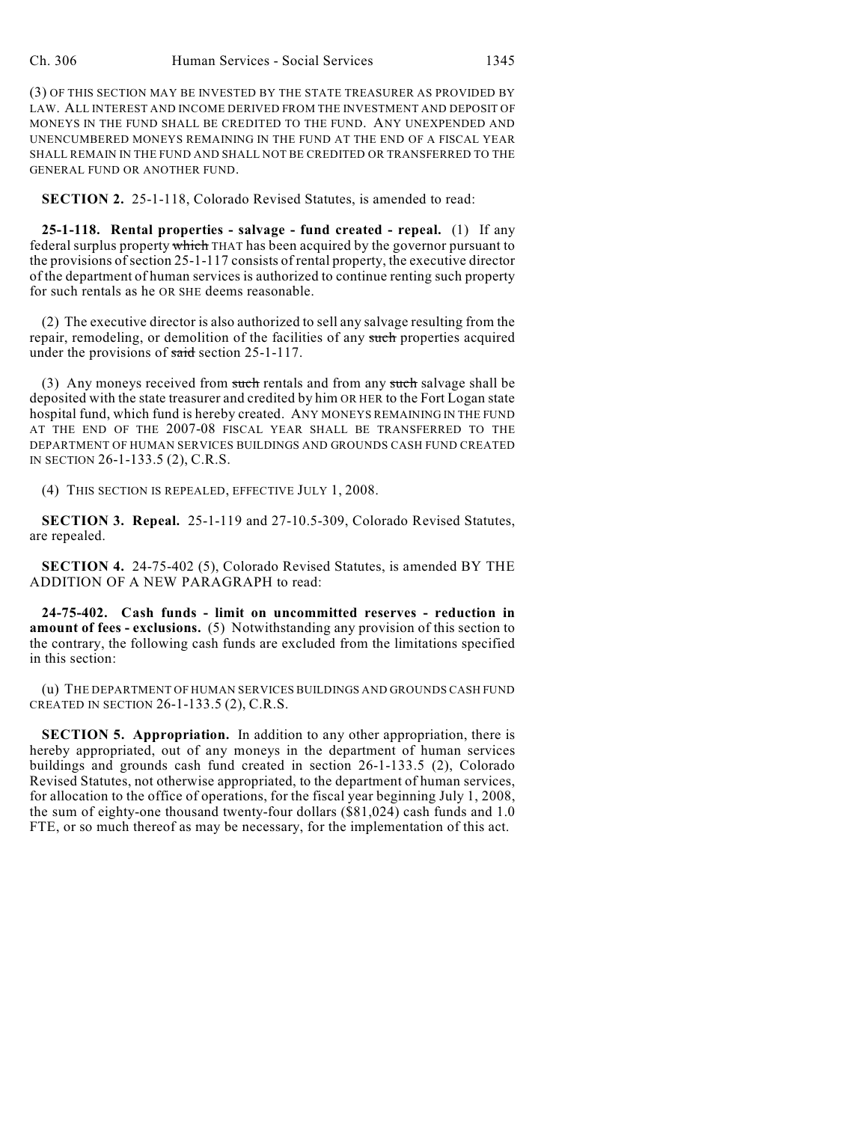(3) OF THIS SECTION MAY BE INVESTED BY THE STATE TREASURER AS PROVIDED BY LAW. ALL INTEREST AND INCOME DERIVED FROM THE INVESTMENT AND DEPOSIT OF MONEYS IN THE FUND SHALL BE CREDITED TO THE FUND. ANY UNEXPENDED AND UNENCUMBERED MONEYS REMAINING IN THE FUND AT THE END OF A FISCAL YEAR SHALL REMAIN IN THE FUND AND SHALL NOT BE CREDITED OR TRANSFERRED TO THE GENERAL FUND OR ANOTHER FUND.

**SECTION 2.** 25-1-118, Colorado Revised Statutes, is amended to read:

**25-1-118. Rental properties - salvage - fund created - repeal.** (1) If any federal surplus property which THAT has been acquired by the governor pursuant to the provisions of section 25-1-117 consists of rental property, the executive director of the department of human services is authorized to continue renting such property for such rentals as he OR SHE deems reasonable.

(2) The executive director is also authorized to sell any salvage resulting from the repair, remodeling, or demolition of the facilities of any such properties acquired under the provisions of said section 25-1-117.

(3) Any moneys received from such rentals and from any such salvage shall be deposited with the state treasurer and credited by him OR HER to the Fort Logan state hospital fund, which fund is hereby created. ANY MONEYS REMAINING IN THE FUND AT THE END OF THE 2007-08 FISCAL YEAR SHALL BE TRANSFERRED TO THE DEPARTMENT OF HUMAN SERVICES BUILDINGS AND GROUNDS CASH FUND CREATED IN SECTION 26-1-133.5 (2), C.R.S.

(4) THIS SECTION IS REPEALED, EFFECTIVE JULY 1, 2008.

**SECTION 3. Repeal.** 25-1-119 and 27-10.5-309, Colorado Revised Statutes, are repealed.

**SECTION 4.** 24-75-402 (5), Colorado Revised Statutes, is amended BY THE ADDITION OF A NEW PARAGRAPH to read:

**24-75-402. Cash funds - limit on uncommitted reserves - reduction in amount of fees - exclusions.** (5) Notwithstanding any provision of this section to the contrary, the following cash funds are excluded from the limitations specified in this section:

(u) THE DEPARTMENT OF HUMAN SERVICES BUILDINGS AND GROUNDS CASH FUND CREATED IN SECTION 26-1-133.5 (2), C.R.S.

**SECTION 5. Appropriation.** In addition to any other appropriation, there is hereby appropriated, out of any moneys in the department of human services buildings and grounds cash fund created in section 26-1-133.5 (2), Colorado Revised Statutes, not otherwise appropriated, to the department of human services, for allocation to the office of operations, for the fiscal year beginning July 1, 2008, the sum of eighty-one thousand twenty-four dollars (\$81,024) cash funds and 1.0 FTE, or so much thereof as may be necessary, for the implementation of this act.